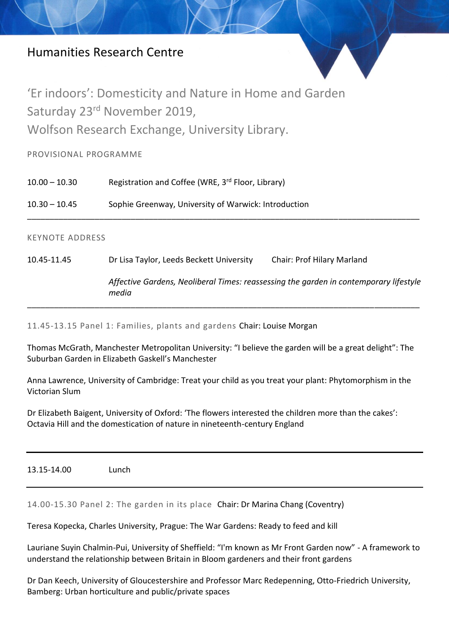## Humanities Research Centre



'Er indoors': Domesticity and Nature in Home and Garden Saturday 23rd November 2019, Wolfson Research Exchange, University Library.

PROVISIONAL PROGRAMME

10.00 – 10.30 Registration and Coffee (WRE, 3<sup>rd</sup> Floor, Library)

10.30 – 10.45 Sophie Greenway, University of Warwick: Introduction

## KEYNOTE ADDRESS

10.45-11.45 Dr Lisa Taylor, Leeds Beckett University Chair: Prof Hilary Marland

*Affective Gardens, Neoliberal Times: reassessing the garden in contemporary lifestyle media*

11.45-13.15 Panel 1: Families, plants and gardens Chair: Louise Morgan

Thomas McGrath, Manchester Metropolitan University: "I believe the garden will be a great delight": The Suburban Garden in Elizabeth Gaskell's Manchester

\_\_\_\_\_\_\_\_\_\_\_\_\_\_\_\_\_\_\_\_\_\_\_\_\_\_\_\_\_\_\_\_\_\_\_\_\_\_\_\_\_\_\_\_\_\_\_\_\_\_\_\_\_\_\_\_\_\_\_\_\_\_\_\_\_\_\_\_\_\_\_\_\_\_\_\_\_\_\_\_\_\_\_\_\_\_\_

\_\_\_\_\_\_\_\_\_\_\_\_\_\_\_\_\_\_\_\_\_\_\_\_\_\_\_\_\_\_\_\_\_\_\_\_\_\_\_\_\_\_\_\_\_\_\_\_\_\_\_\_\_\_\_\_\_\_\_\_\_\_\_\_\_\_\_\_\_\_\_\_\_\_\_\_\_\_\_\_\_\_\_\_\_\_\_

Anna Lawrence, University of Cambridge: Treat your child as you treat your plant: Phytomorphism in the Victorian Slum

Dr Elizabeth Baigent, University of Oxford: 'The flowers interested the children more than the cakes': Octavia Hill and the domestication of nature in nineteenth-century England

13.15-14.00 Lunch

14.00-15.30 Panel 2: The garden in its place Chair: Dr Marina Chang (Coventry)

Teresa Kopecka, Charles University, Prague: The War Gardens: Ready to feed and kill

Lauriane Suyin Chalmin-Pui, University of Sheffield: "I'm known as Mr Front Garden now" - A framework to understand the relationship between Britain in Bloom gardeners and their front gardens

Dr Dan Keech, University of Gloucestershire and Professor Marc Redepenning, Otto-Friedrich University, Bamberg: Urban horticulture and public/private spaces